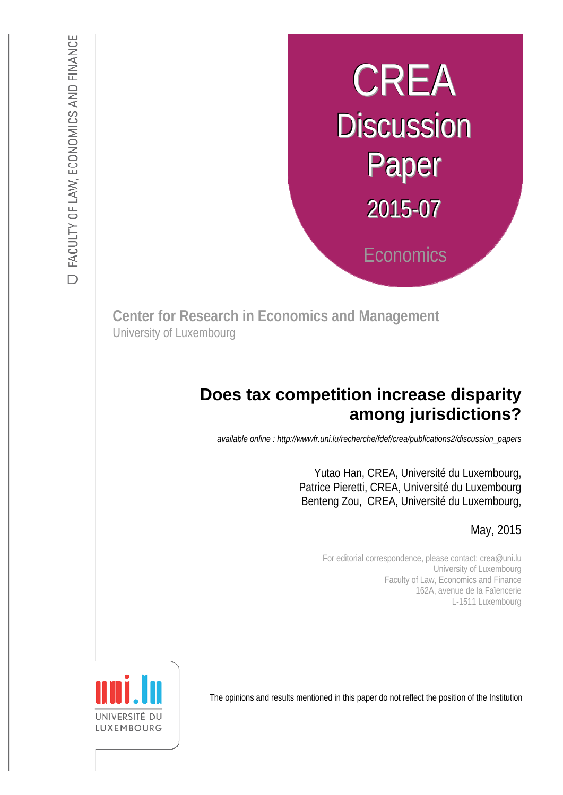# CREA **Discussion** Paper 2015-07 **Economics**

**Center for Research in Economics and Management** University of Luxembourg

## **among jurisdictions? Does tax competition increase disparity**

*available online : http://wwwfr.uni.lu/recherche/fdef/crea/publications2/discussion\_papers* 

Yutao Han, CREA, Université du Luxembourg, Patrice Pieretti, CREA, Université du Luxembourg Benteng Zou, CREA, Université du Luxembourg,

May, 2015

For editorial correspondence, please contact: crea@uni.lu University of Luxembourg Faculty of Law, Economics and Finance 162A, avenue de la Faïencerie L-1511 Luxembourg

The opinions and results mentioned in this paper do not reflect the position of the Institution

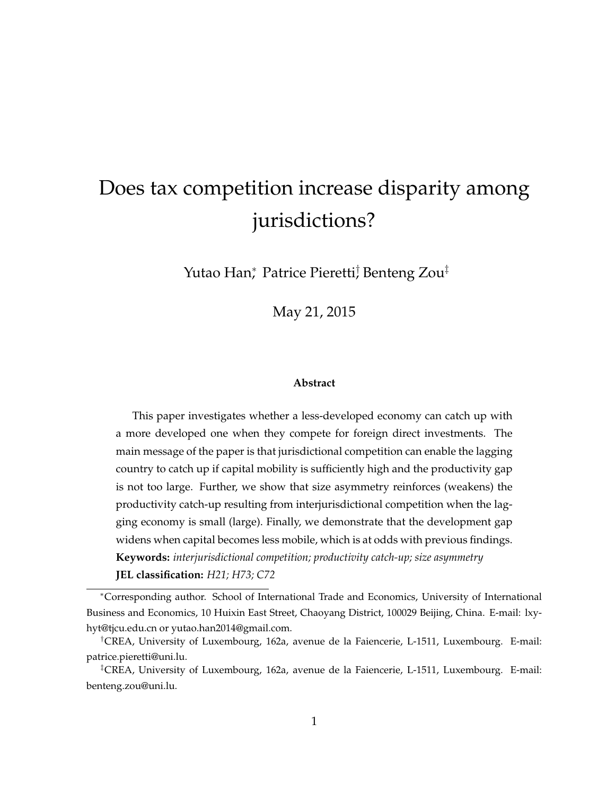# Does tax competition increase disparity among jurisdictions?

Yutao Han\*, Patrice Pierettij Benteng Zou‡

May 21, 2015

#### **Abstract**

This paper investigates whether a less-developed economy can catch up with a more developed one when they compete for foreign direct investments. The main message of the paper is that jurisdictional competition can enable the lagging country to catch up if capital mobility is sufficiently high and the productivity gap is not too large. Further, we show that size asymmetry reinforces (weakens) the productivity catch-up resulting from interjurisdictional competition when the lagging economy is small (large). Finally, we demonstrate that the development gap widens when capital becomes less mobile, which is at odds with previous findings. **Keywords:** *interjurisdictional competition; productivity catch-up; size asymmetry* **JEL classification:** *H21; H73; C72*

Corresponding author. School of International Trade and Economics, University of International Business and Economics, 10 Huixin East Street, Chaoyang District, 100029 Beijing, China. E-mail: lxyhyt@tjcu.edu.cn or yutao.han2014@gmail.com.

<sup>&</sup>lt;sup>†</sup>CREA, University of Luxembourg, 162a, avenue de la Faiencerie, L-1511, Luxembourg. E-mail: patrice.pieretti@uni.lu.

<sup>&</sup>lt;sup>‡</sup>CREA, University of Luxembourg, 162a, avenue de la Faiencerie, L-1511, Luxembourg. E-mail: benteng.zou@uni.lu.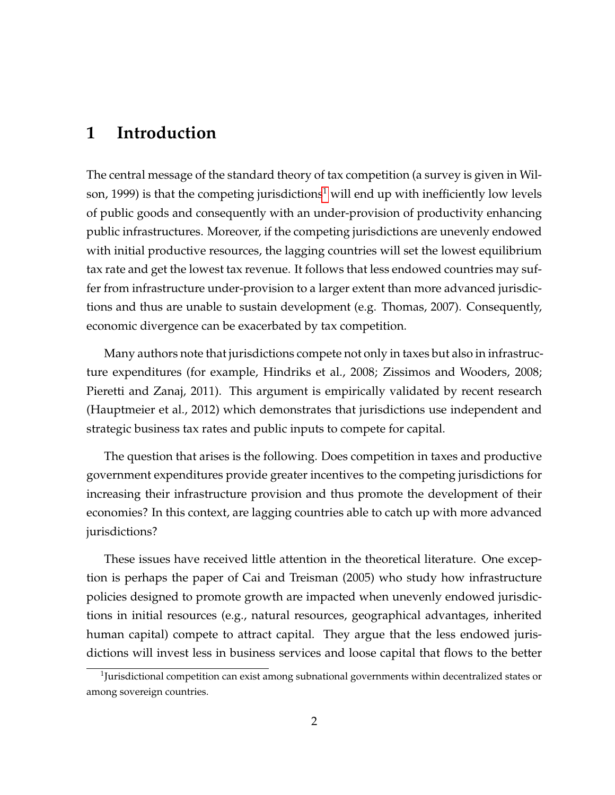## **1 Introduction**

The central message of the standard theory of tax competition (a survey is given in Wil-son, [1](#page-2-0)999) is that the competing jurisdictions<sup>1</sup> will end up with inefficiently low levels of public goods and consequently with an under-provision of productivity enhancing public infrastructures. Moreover, if the competing jurisdictions are unevenly endowed with initial productive resources, the lagging countries will set the lowest equilibrium tax rate and get the lowest tax revenue. It follows that less endowed countries may suffer from infrastructure under-provision to a larger extent than more advanced jurisdictions and thus are unable to sustain development (e.g. Thomas, 2007). Consequently, economic divergence can be exacerbated by tax competition.

Many authors note that jurisdictions compete not only in taxes but also in infrastructure expenditures (for example, Hindriks et al., 2008; Zissimos and Wooders, 2008; Pieretti and Zanaj, 2011). This argument is empirically validated by recent research (Hauptmeier et al., 2012) which demonstrates that jurisdictions use independent and strategic business tax rates and public inputs to compete for capital.

The question that arises is the following. Does competition in taxes and productive government expenditures provide greater incentives to the competing jurisdictions for increasing their infrastructure provision and thus promote the development of their economies? In this context, are lagging countries able to catch up with more advanced jurisdictions?

These issues have received little attention in the theoretical literature. One exception is perhaps the paper of Cai and Treisman (2005) who study how infrastructure policies designed to promote growth are impacted when unevenly endowed jurisdictions in initial resources (e.g., natural resources, geographical advantages, inherited human capital) compete to attract capital. They argue that the less endowed jurisdictions will invest less in business services and loose capital that flows to the better

<span id="page-2-0"></span> $1$ Jurisdictional competition can exist among subnational governments within decentralized states or among sovereign countries.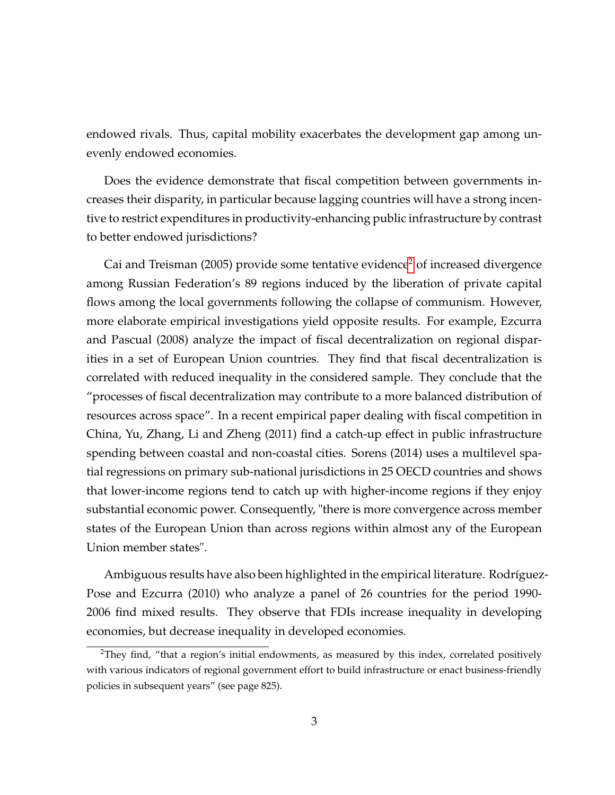endowed rivals. Thus, capital mobility exacerbates the development gap among unevenly endowed economies.

Does the evidence demonstrate that fiscal competition between governments increases their disparity, in particular because lagging countries will have a strong incentive to restrict expenditures in productivity-enhancing public infrastructure by contrast to better endowed jurisdictions?

Cai and Treisman ([2](#page-3-0)005) provide some tentative evidence<sup>2</sup> of increased divergence among Russian Federation's 89 regions induced by the liberation of private capital flows among the local governments following the collapse of communism. However, more elaborate empirical investigations yield opposite results. For example, Ezcurra and Pascual (2008) analyze the impact of fiscal decentralization on regional disparities in a set of European Union countries. They find that fiscal decentralization is correlated with reduced inequality in the considered sample. They conclude that the "processes of fiscal decentralization may contribute to a more balanced distribution of resources across space". In a recent empirical paper dealing with fiscal competition in China, Yu, Zhang, Li and Zheng (2011) find a catch-up effect in public infrastructure spending between coastal and non-coastal cities. Sorens (2014) uses a multilevel spatial regressions on primary sub-national jurisdictions in 25 OECD countries and shows that lower-income regions tend to catch up with higher-income regions if they enjoy substantial economic power. Consequently, "there is more convergence across member states of the European Union than across regions within almost any of the European Union member states".

Ambiguous results have also been highlighted in the empirical literature. Rodríguez-Pose and Ezcurra (2010) who analyze a panel of 26 countries for the period 1990- 2006 find mixed results. They observe that FDIs increase inequality in developing economies, but decrease inequality in developed economies.

<span id="page-3-0"></span><sup>&</sup>lt;sup>2</sup>They find, "that a region's initial endowments, as measured by this index, correlated positively with various indicators of regional government effort to build infrastructure or enact business-friendly policies in subsequent years" (see page 825).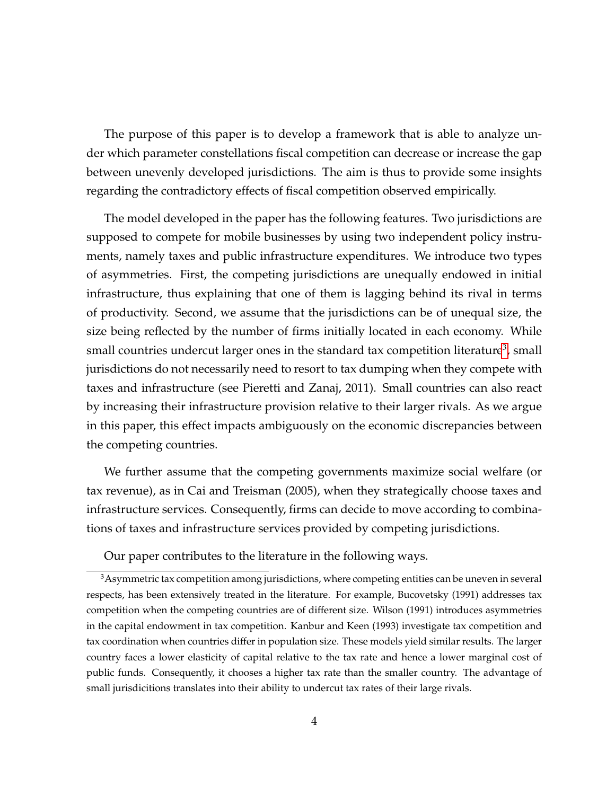The purpose of this paper is to develop a framework that is able to analyze under which parameter constellations fiscal competition can decrease or increase the gap between unevenly developed jurisdictions. The aim is thus to provide some insights regarding the contradictory effects of fiscal competition observed empirically.

The model developed in the paper has the following features. Two jurisdictions are supposed to compete for mobile businesses by using two independent policy instruments, namely taxes and public infrastructure expenditures. We introduce two types of asymmetries. First, the competing jurisdictions are unequally endowed in initial infrastructure, thus explaining that one of them is lagging behind its rival in terms of productivity. Second, we assume that the jurisdictions can be of unequal size, the size being reflected by the number of firms initially located in each economy. While small countries undercut larger ones in the standard tax competition literature $^3$  $^3$ , small jurisdictions do not necessarily need to resort to tax dumping when they compete with taxes and infrastructure (see Pieretti and Zanaj, 2011). Small countries can also react by increasing their infrastructure provision relative to their larger rivals. As we argue in this paper, this effect impacts ambiguously on the economic discrepancies between the competing countries.

We further assume that the competing governments maximize social welfare (or tax revenue), as in Cai and Treisman (2005), when they strategically choose taxes and infrastructure services. Consequently, firms can decide to move according to combinations of taxes and infrastructure services provided by competing jurisdictions.

<span id="page-4-0"></span>Our paper contributes to the literature in the following ways.

<sup>&</sup>lt;sup>3</sup> Asymmetric tax competition among jurisdictions, where competing entities can be uneven in several respects, has been extensively treated in the literature. For example, Bucovetsky (1991) addresses tax competition when the competing countries are of different size. Wilson (1991) introduces asymmetries in the capital endowment in tax competition. Kanbur and Keen (1993) investigate tax competition and tax coordination when countries differ in population size. These models yield similar results. The larger country faces a lower elasticity of capital relative to the tax rate and hence a lower marginal cost of public funds. Consequently, it chooses a higher tax rate than the smaller country. The advantage of small jurisdicitions translates into their ability to undercut tax rates of their large rivals.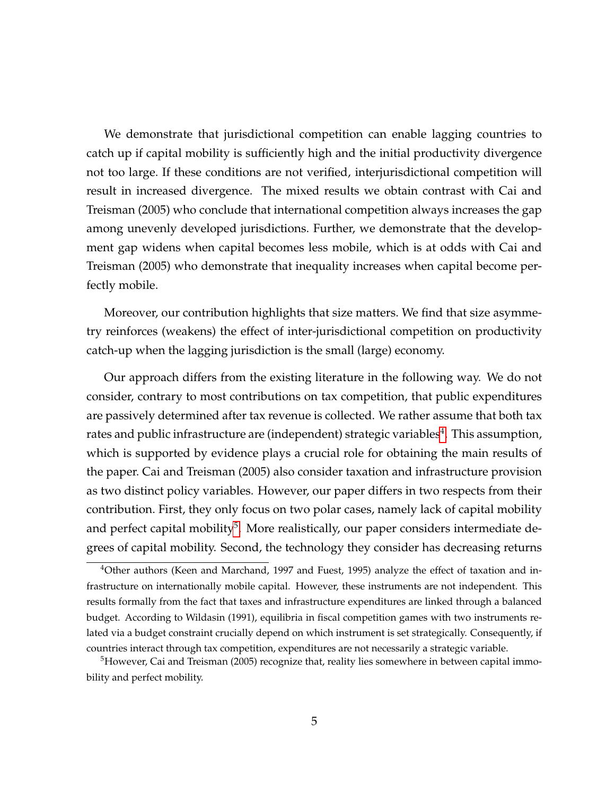We demonstrate that jurisdictional competition can enable lagging countries to catch up if capital mobility is sufficiently high and the initial productivity divergence not too large. If these conditions are not verified, interjurisdictional competition will result in increased divergence. The mixed results we obtain contrast with Cai and Treisman (2005) who conclude that international competition always increases the gap among unevenly developed jurisdictions. Further, we demonstrate that the development gap widens when capital becomes less mobile, which is at odds with Cai and Treisman (2005) who demonstrate that inequality increases when capital become perfectly mobile.

Moreover, our contribution highlights that size matters. We find that size asymmetry reinforces (weakens) the effect of inter-jurisdictional competition on productivity catch-up when the lagging jurisdiction is the small (large) economy.

Our approach differs from the existing literature in the following way. We do not consider, contrary to most contributions on tax competition, that public expenditures are passively determined after tax revenue is collected. We rather assume that both tax rates and public infrastructure are (independent) strategic variables $\rm ^4.$  $\rm ^4.$  $\rm ^4.$  This assumption, which is supported by evidence plays a crucial role for obtaining the main results of the paper. Cai and Treisman (2005) also consider taxation and infrastructure provision as two distinct policy variables. However, our paper differs in two respects from their contribution. First, they only focus on two polar cases, namely lack of capital mobility and perfect capital mobility<sup>[5](#page-5-1)</sup>. More realistically, our paper considers intermediate degrees of capital mobility. Second, the technology they consider has decreasing returns

<span id="page-5-0"></span><sup>4</sup>Other authors (Keen and Marchand, 1997 and Fuest, 1995) analyze the effect of taxation and infrastructure on internationally mobile capital. However, these instruments are not independent. This results formally from the fact that taxes and infrastructure expenditures are linked through a balanced budget. According to Wildasin (1991), equilibria in fiscal competition games with two instruments related via a budget constraint crucially depend on which instrument is set strategically. Consequently, if countries interact through tax competition, expenditures are not necessarily a strategic variable.

<span id="page-5-1"></span> $<sup>5</sup>$ However, Cai and Treisman (2005) recognize that, reality lies somewhere in between capital immo-</sup> bility and perfect mobility.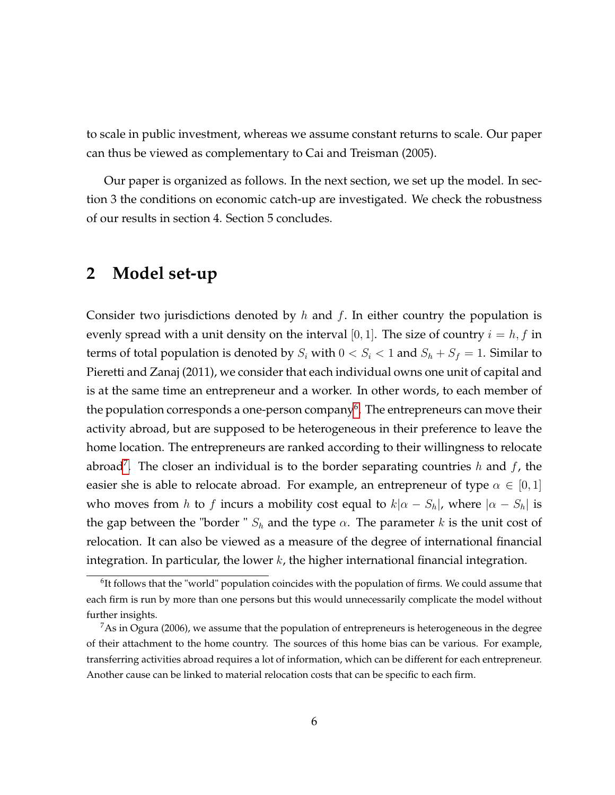to scale in public investment, whereas we assume constant returns to scale. Our paper can thus be viewed as complementary to Cai and Treisman (2005).

Our paper is organized as follows. In the next section, we set up the model. In section 3 the conditions on economic catch-up are investigated. We check the robustness of our results in section 4. Section 5 concludes.

## **2 Model set-up**

Consider two jurisdictions denoted by  $h$  and  $f$ . In either country the population is evenly spread with a unit density on the interval [0, 1]. The size of country  $i = h, f$  in terms of total population is denoted by  $S_i$  with  $0 < S_i < 1$  and  $S_h + S_f = 1$ . Similar to Pieretti and Zanaj (2011), we consider that each individual owns one unit of capital and is at the same time an entrepreneur and a worker. In other words, to each member of the population corresponds a one-person company $^6$  $^6$ . The entrepreneurs can move their activity abroad, but are supposed to be heterogeneous in their preference to leave the home location. The entrepreneurs are ranked according to their willingness to relocate abroad<sup>[7](#page-6-1)</sup>. The closer an individual is to the border separating countries  $h$  and  $f$ , the easier she is able to relocate abroad. For example, an entrepreneur of type  $\alpha \in [0, 1]$ who moves from h to f incurs a mobility cost equal to  $k|\alpha - S_h|$ , where  $|\alpha - S_h|$  is the gap between the "border "  $S_h$  and the type  $\alpha$ . The parameter k is the unit cost of relocation. It can also be viewed as a measure of the degree of international financial integration. In particular, the lower  $k$ , the higher international financial integration.

<span id="page-6-0"></span> $6$ It follows that the "world" population coincides with the population of firms. We could assume that each firm is run by more than one persons but this would unnecessarily complicate the model without further insights.

<span id="page-6-1"></span> $7$ As in Ogura (2006), we assume that the population of entrepreneurs is heterogeneous in the degree of their attachment to the home country. The sources of this home bias can be various. For example, transferring activities abroad requires a lot of information, which can be different for each entrepreneur. Another cause can be linked to material relocation costs that can be specific to each firm.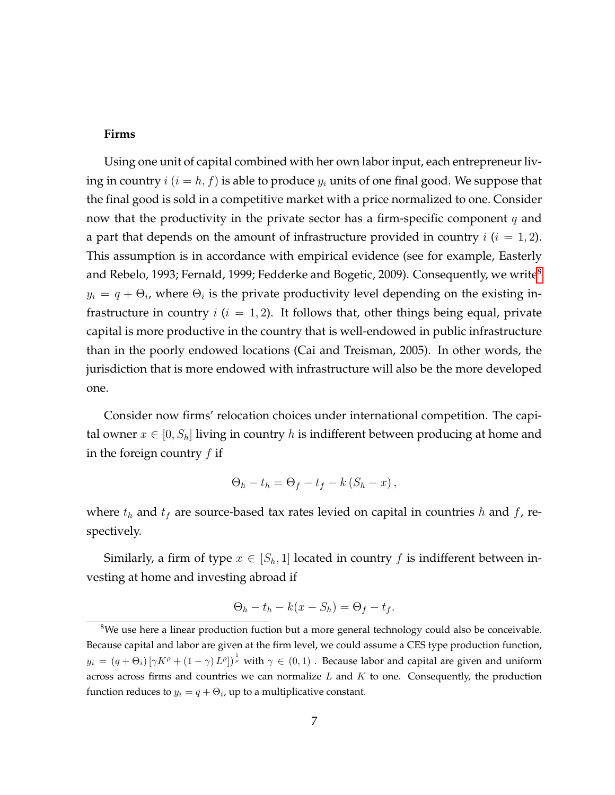#### **Firms**

Using one unit of capital combined with her own labor input, each entrepreneur living in country  $i$  ( $i = h, f$ ) is able to produce  $y_i$  units of one final good. We suppose that the final good is sold in a competitive market with a price normalized to one. Consider now that the productivity in the private sector has a firm-specific component  $q$  and a part that depends on the amount of infrastructure provided in country  $i$  ( $i = 1, 2$ ). This assumption is in accordance with empirical evidence (see for example, Easterly and Rebelo, 1993; Fernald, 1999; Fedderke and Bogetic, 2009). Consequently, we write<sup>[8](#page-7-0)</sup>  $y_i = q + \Theta_i$ , where  $\Theta_i$  is the private productivity level depending on the existing infrastructure in country  $i$  ( $i = 1, 2$ ). It follows that, other things being equal, private capital is more productive in the country that is well-endowed in public infrastructure than in the poorly endowed locations (Cai and Treisman, 2005). In other words, the jurisdiction that is more endowed with infrastructure will also be the more developed one.

Consider now firms' relocation choices under international competition. The capital owner  $x \in [0, S_h]$  living in country h is indifferent between producing at home and in the foreign country  $f$  if

$$
\Theta_h - t_h = \Theta_f - t_f - k(S_h - x),
$$

where  $t_h$  and  $t_f$  are source-based tax rates levied on capital in countries h and f, respectively.

Similarly, a firm of type  $x \in [S_h, 1]$  located in country f is indifferent between investing at home and investing abroad if

$$
\Theta_h - t_h - k(x - S_h) = \Theta_f - t_f.
$$

<span id="page-7-0"></span><sup>&</sup>lt;sup>8</sup>We use here a linear production fuction but a more general technology could also be conceivable. Because capital and labor are given at the firm level, we could assume a CES type production function,  $y_i = (q + \Theta_i) [\gamma K^{\rho} + (1 - \gamma) L^{\rho}]^{\frac{1}{\rho}}$  with  $\gamma \in (0, 1)$  . Because labor and capital are given and uniform across across firms and countries we can normalize  $L$  and  $K$  to one. Consequently, the production function reduces to  $y_i = q + \Theta_i$ , up to a multiplicative constant.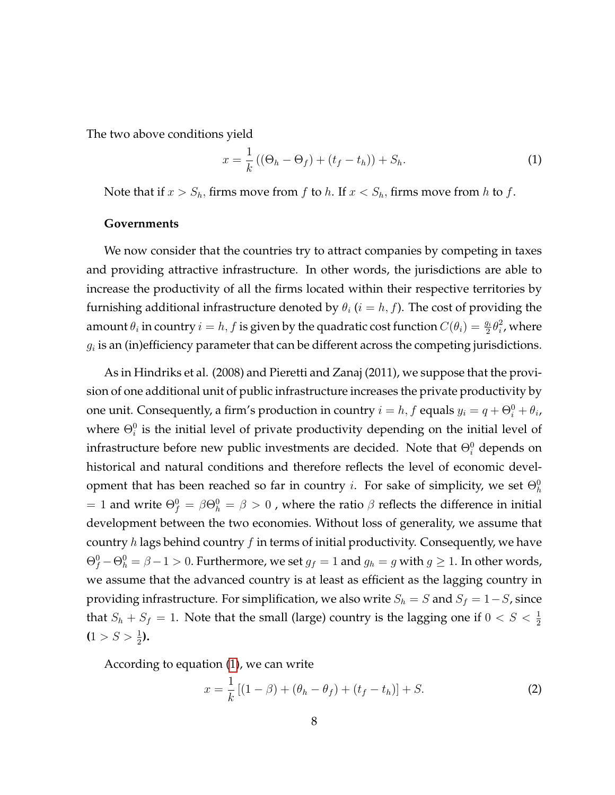The two above conditions yield

<span id="page-8-0"></span>
$$
x = \frac{1}{k} ((\Theta_h - \Theta_f) + (t_f - t_h)) + S_h.
$$
 (1)

Note that if  $x > S_h$ , firms move from f to h. If  $x < S_h$ , firms move from h to f.

#### **Governments**

We now consider that the countries try to attract companies by competing in taxes and providing attractive infrastructure. In other words, the jurisdictions are able to increase the productivity of all the firms located within their respective territories by furnishing additional infrastructure denoted by  $\theta_i$  ( $i = h, f$ ). The cost of providing the amount  $\theta_i$  in country  $i = h, f$  is given by the quadratic cost function  $C(\theta_i) = \frac{g_i}{2} \theta_i^2$  $i<sub>i</sub>$ , where  $g_i$  is an (in)efficiency parameter that can be different across the competing jurisdictions.

As in Hindriks et al. (2008) and Pieretti and Zanaj (2011), we suppose that the provision of one additional unit of public infrastructure increases the private productivity by one unit. Consequently, a firm's production in country  $i = h, f$  equals  $y_i = q + \Theta_i^0 + \theta_i$ , where  $\Theta_i^0$  is the initial level of private productivity depending on the initial level of infrastructure before new public investments are decided. Note that  $\Theta_i^0$  depends on historical and natural conditions and therefore reflects the level of economic development that has been reached so far in country *i*. For sake of simplicity, we set  $\Theta_h^0$  $\lambda=1$  and write  $\Theta_f^0=\beta\Theta_h^0=\beta>0$  , where the ratio  $\beta$  reflects the difference in initial development between the two economies. Without loss of generality, we assume that country  $h$  lags behind country  $f$  in terms of initial productivity. Consequently, we have  $\Theta_f^0 - \Theta_h^0 = \beta - 1 > 0$ . Furthermore, we set  $g_f = 1$  and  $g_h = g$  with  $g \ge 1$ . In other words, we assume that the advanced country is at least as efficient as the lagging country in providing infrastructure. For simplification, we also write  $S_h = S$  and  $S_f = 1 - S$ , since that  $S_h + S_f = 1$ . Note that the small (large) country is the lagging one if  $0 < S < \frac{1}{2}$  $(1 > S > \frac{1}{2}).$ 

According to equation [\(1\)](#page-8-0), we can write

<span id="page-8-1"></span>
$$
x = \frac{1}{k} [(1 - \beta) + (\theta_h - \theta_f) + (t_f - t_h)] + S.
$$
 (2)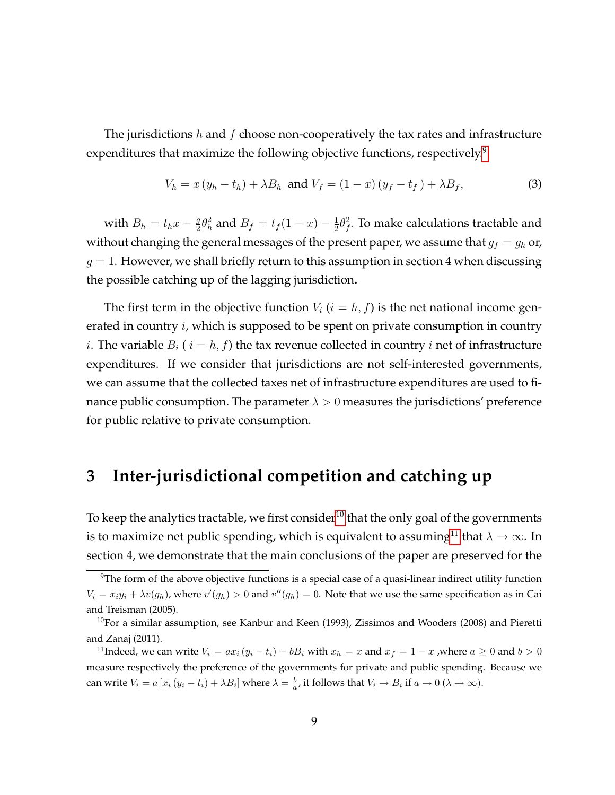The jurisdictions  $h$  and  $f$  choose non-cooperatively the tax rates and infrastructure expenditures that maximize the following objective functions, respectively.<sup>[9](#page-9-0)</sup>

<span id="page-9-3"></span>
$$
V_h = x (y_h - t_h) + \lambda B_h \text{ and } V_f = (1 - x) (y_f - t_f) + \lambda B_f,
$$
 (3)

with  $B_h = t_h x - \frac{g}{2}$  $\frac{g}{2}\theta_h^2$  and  $B_f = t_f(1-x) - \frac{1}{2}$  $rac{1}{2}\theta_f^2$  $f<sup>2</sup>$ . To make calculations tractable and without changing the general messages of the present paper, we assume that  $g_f = g_h$  or,  $g = 1$ . However, we shall briefly return to this assumption in section 4 when discussing the possible catching up of the lagging jurisdiction**.**

The first term in the objective function  $V_i$  ( $i = h, f$ ) is the net national income generated in country *i*, which is supposed to be spent on private consumption in country *i*. The variable  $B_i$  (  $i = h, f$ ) the tax revenue collected in country *i* net of infrastructure expenditures. If we consider that jurisdictions are not self-interested governments, we can assume that the collected taxes net of infrastructure expenditures are used to finance public consumption. The parameter  $\lambda > 0$  measures the jurisdictions' preference for public relative to private consumption.

## **3 Inter-jurisdictional competition and catching up**

To keep the analytics tractable, we first consider<sup>[10](#page-9-1)</sup> that the only goal of the governments is to maximize net public spending, which is equivalent to assuming<sup>[11](#page-9-2)</sup> that  $\lambda \to \infty$ . In section 4, we demonstrate that the main conclusions of the paper are preserved for the

<span id="page-9-0"></span><sup>&</sup>lt;sup>9</sup>The form of the above objective functions is a special case of a quasi-linear indirect utility function  $V_i = x_i y_i + \lambda v(g_h)$ , where  $v'(g_h) > 0$  and  $v''(g_h) = 0$ . Note that we use the same specification as in Cai and Treisman (2005).

<span id="page-9-1"></span> $10$ For a similar assumption, see Kanbur and Keen (1993), Zissimos and Wooders (2008) and Pieretti and Zanaj (2011).

<span id="page-9-2"></span><sup>&</sup>lt;sup>11</sup>Indeed, we can write  $V_i = ax_i (y_i - t_i) + b_i$  with  $x_h = x$  and  $x_f = 1 - x$ , where  $a \ge 0$  and  $b > 0$ measure respectively the preference of the governments for private and public spending. Because we can write  $V_i = a[x_i(y_i - t_i) + \lambda B_i]$  where  $\lambda = \frac{b}{a}$ , it follows that  $V_i \to B_i$  if  $a \to 0$   $(\lambda \to \infty)$ .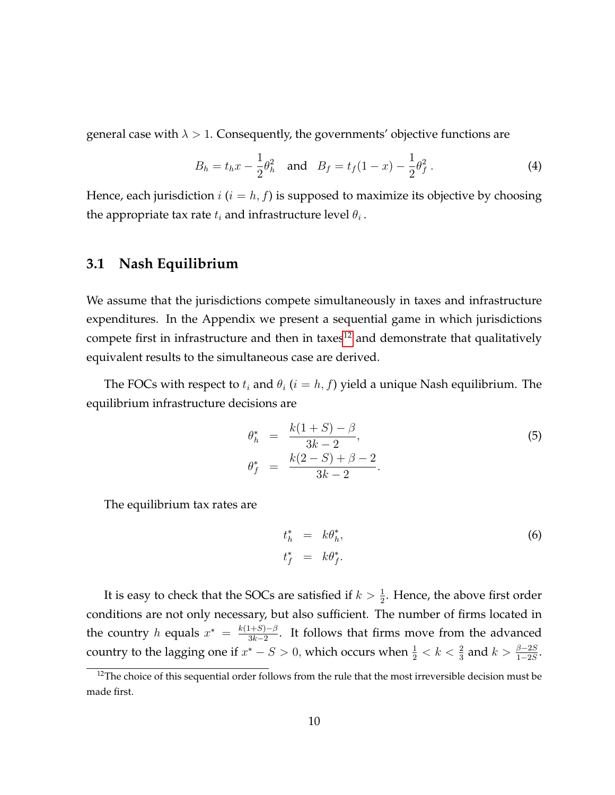general case with  $\lambda > 1$ . Consequently, the governments' objective functions are

$$
B_h = t_h x - \frac{1}{2} \theta_h^2 \quad \text{and} \quad B_f = t_f (1 - x) - \frac{1}{2} \theta_f^2 \,. \tag{4}
$$

Hence, each jurisdiction  $i$  ( $i = h, f$ ) is supposed to maximize its objective by choosing the appropriate tax rate  $t_i$  and infrastructure level  $\theta_i$ .

#### **3.1 Nash Equilibrium**

We assume that the jurisdictions compete simultaneously in taxes and infrastructure expenditures. In the Appendix we present a sequential game in which jurisdictions compete first in infrastructure and then in taxes $12$  and demonstrate that qualitatively equivalent results to the simultaneous case are derived.

The FOCs with respect to  $t_i$  and  $\theta_i$   $(i = h, f)$  yield a unique Nash equilibrium. The equilibrium infrastructure decisions are

<span id="page-10-1"></span>
$$
\theta_h^* = \frac{k(1+S) - \beta}{3k - 2},
$$
  
\n
$$
\theta_f^* = \frac{k(2-S) + \beta - 2}{3k - 2}.
$$
\n(5)

The equilibrium tax rates are

<span id="page-10-2"></span>
$$
t_h^* = k\theta_h^*,
$$
  
\n
$$
t_f^* = k\theta_f^*.
$$
\n(6)

It is easy to check that the SOCs are satisfied if  $k > \frac{1}{2}$ . Hence, the above first order conditions are not only necessary, but also sufficient. The number of firms located in the country h equals  $x^* = \frac{k(1+S)-\beta}{3k-2}$  $\frac{(1+3)-p}{3k-2}$ . It follows that firms move from the advanced country to the lagging one if  $x^* - S > 0$ , which occurs when  $\frac{1}{2} < k < \frac{2}{3}$  and  $k > \frac{\beta - 2S}{1 - 2S}$ .

<span id="page-10-0"></span><sup>&</sup>lt;sup>12</sup>The choice of this sequential order follows from the rule that the most irreversible decision must be made first.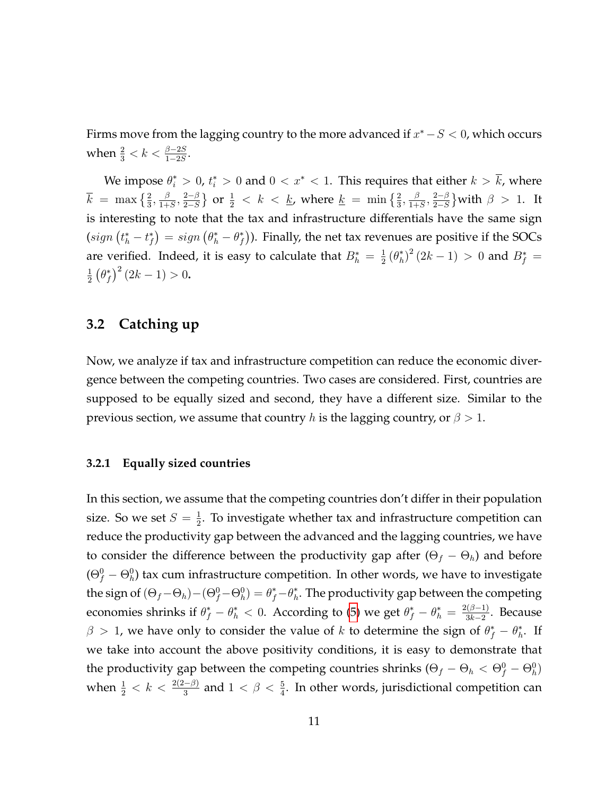Firms move from the lagging country to the more advanced if  $x^* - S < 0$ , which occurs when  $\frac{2}{3} < k < \frac{\beta - 2S}{1 - 2S}$ .

We impose  $\theta_i^* > 0$ ,  $t_i^* > 0$  and  $0 < x^* < 1$ . This requires that either  $k > k$ , where  $\overline{k}$  = max  $\left\{\frac{2}{3}, \frac{\beta}{1+\beta}\right\}$  $\frac{\beta}{1+S}, \frac{2-\beta}{2-S}$  $2-S$ } or  $\frac{1}{2}$  < k < <u>k</u>, where <u>k</u> = min  $\{\frac{2}{3}, \frac{\beta}{1+}$  $\frac{\beta}{1+S}, \frac{2-\beta}{2-S}$  $2-S$ } with  $\beta > 1$ . It is interesting to note that the tax and infrastructure differentials have the same sign  $(sign (t<sub>h</sub><sup>*</sup> - t<sub>f</sub><sup>*</sup>) = sign (\theta<sub>h</sub><sup>*</sup> - \theta<sub>f</sub><sup>*</sup>)).$  Finally, the net tax revenues are positive if the SOCs are verified. Indeed, it is easy to calculate that  $B_h^* = \frac{1}{2}$  $\frac{1}{2}(\theta_h^*)^2(2k-1) > 0$  and  $B_f^* =$ 1  $\frac{1}{2}(\theta_f^*)^2(2k-1) > 0.$ 

#### **3.2 Catching up**

Now, we analyze if tax and infrastructure competition can reduce the economic divergence between the competing countries. Two cases are considered. First, countries are supposed to be equally sized and second, they have a different size. Similar to the previous section, we assume that country h is the lagging country, or  $\beta > 1$ .

#### **3.2.1 Equally sized countries**

In this section, we assume that the competing countries don't differ in their population size. So we set  $S = \frac{1}{2}$  $\frac{1}{2}$ . To investigate whether tax and infrastructure competition can reduce the productivity gap between the advanced and the lagging countries, we have to consider the difference between the productivity gap after  $(\Theta_f - \Theta_h)$  and before  $(\Theta_f^0 - \Theta_h^0)$  tax cum infrastructure competition. In other words, we have to investigate the sign of  $(\Theta_f-\Theta_h) - (\Theta_f^0-\Theta_h^0) = \theta_f^* - \theta_h^*$ . The productivity gap between the competing economies shrinks if  $\theta_f^* - \theta_h^* < 0$ . According to [\(5\)](#page-10-1) we get  $\theta_f^* - \theta_h^* = \frac{2(\beta-1)}{3k-2}$  $\frac{3k-2}{3k-2}$ . Because  $\beta > 1$ , we have only to consider the value of k to determine the sign of  $\theta_f^* - \theta_h^*$ . If we take into account the above positivity conditions, it is easy to demonstrate that the productivity gap between the competing countries shrinks  $(\Theta_f - \Theta_h < \Theta_f^0 - \Theta_h^0)$ when  $\frac{1}{2} < k < \frac{2(2-\beta)}{3}$  and  $1 < \beta < \frac{5}{4}$ . In other words, jurisdictional competition can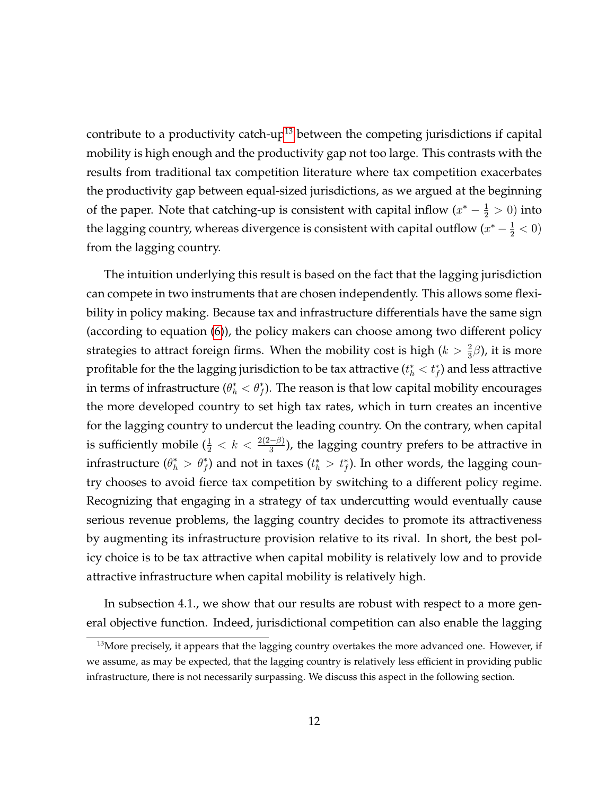contribute to a productivity catch-up<sup>[13](#page-12-0)</sup> between the competing jurisdictions if capital mobility is high enough and the productivity gap not too large. This contrasts with the results from traditional tax competition literature where tax competition exacerbates the productivity gap between equal-sized jurisdictions, as we argued at the beginning of the paper. Note that catching-up is consistent with capital inflow  $(x^* - \frac{1}{2} > 0)$  into the lagging country, whereas divergence is consistent with capital outflow  $(x^* - \frac{1}{2} < 0)$ from the lagging country.

The intuition underlying this result is based on the fact that the lagging jurisdiction can compete in two instruments that are chosen independently. This allows some flexibility in policy making. Because tax and infrastructure differentials have the same sign (according to equation [\(6\)](#page-10-2)), the policy makers can choose among two different policy strategies to attract foreign firms. When the mobility cost is high ( $k > \frac{2}{3}\beta$ ), it is more profitable for the the lagging jurisdiction to be tax attractive  $(t^*_h < t^*_f)$  and less attractive in terms of infrastructure  $(\theta_h^* < \theta_f^*)$ . The reason is that low capital mobility encourages the more developed country to set high tax rates, which in turn creates an incentive for the lagging country to undercut the leading country. On the contrary, when capital is sufficiently mobile  $(\frac{1}{2} < k < \frac{2(2-\beta)}{3})$ , the lagging country prefers to be attractive in infrastructure  $(\theta_h^* > \theta_f^*)$  and not in taxes  $(t_h^* > t_f^*)$ . In other words, the lagging country chooses to avoid fierce tax competition by switching to a different policy regime. Recognizing that engaging in a strategy of tax undercutting would eventually cause serious revenue problems, the lagging country decides to promote its attractiveness by augmenting its infrastructure provision relative to its rival. In short, the best policy choice is to be tax attractive when capital mobility is relatively low and to provide attractive infrastructure when capital mobility is relatively high.

In subsection 4.1., we show that our results are robust with respect to a more general objective function. Indeed, jurisdictional competition can also enable the lagging

<span id="page-12-0"></span><sup>&</sup>lt;sup>13</sup>More precisely, it appears that the lagging country overtakes the more advanced one. However, if we assume, as may be expected, that the lagging country is relatively less efficient in providing public infrastructure, there is not necessarily surpassing. We discuss this aspect in the following section.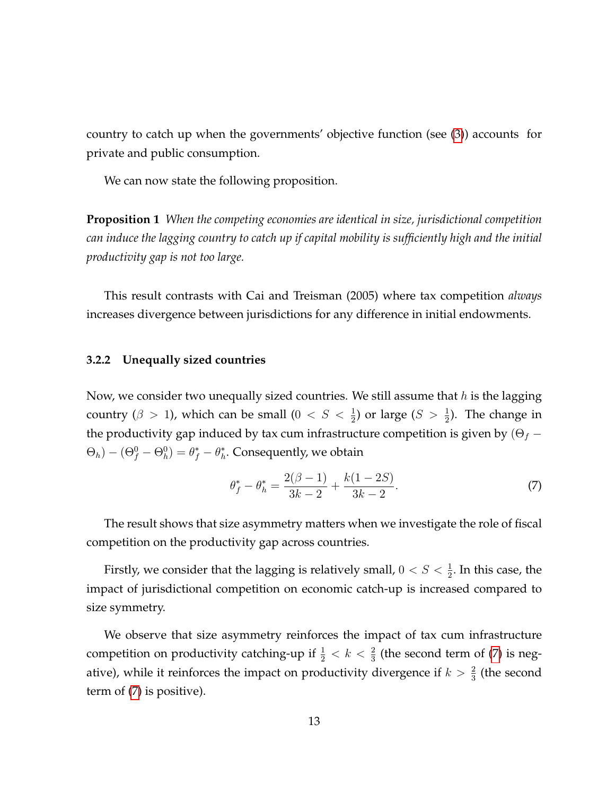country to catch up when the governments' objective function (see [\(3\)](#page-9-3)) accounts for private and public consumption.

We can now state the following proposition.

**Proposition 1** *When the competing economies are identical in size, jurisdictional competition can induce the lagging country to catch up if capital mobility is sufficiently high and the initial productivity gap is not too large.*

This result contrasts with Cai and Treisman (2005) where tax competition *always* increases divergence between jurisdictions for any difference in initial endowments.

#### **3.2.2 Unequally sized countries**

Now, we consider two unequally sized countries. We still assume that  $h$  is the lagging country ( $\beta > 1$ ), which can be small ( $0 < S < \frac{1}{2}$ ) or large ( $S > \frac{1}{2}$ ). The change in the productivity gap induced by tax cum infrastructure competition is given by  $(\Theta_f (\Theta_h) - (\Theta_f^0 - \Theta_h^0) = \theta_f^* - \theta_h^*.$  Consequently, we obtain

<span id="page-13-0"></span>
$$
\theta_f^* - \theta_h^* = \frac{2(\beta - 1)}{3k - 2} + \frac{k(1 - 2S)}{3k - 2}.
$$
 (7)

The result shows that size asymmetry matters when we investigate the role of fiscal competition on the productivity gap across countries.

Firstly, we consider that the lagging is relatively small,  $0 < S < \frac{1}{2}$ . In this case, the impact of jurisdictional competition on economic catch-up is increased compared to size symmetry.

We observe that size asymmetry reinforces the impact of tax cum infrastructure competition on productivity catching-up if  $\frac{1}{2} < k < \frac{2}{3}$  (the second term of [\(7\)](#page-13-0) is negative), while it reinforces the impact on productivity divergence if  $k > \frac{2}{3}$  (the second term of [\(7\)](#page-13-0) is positive).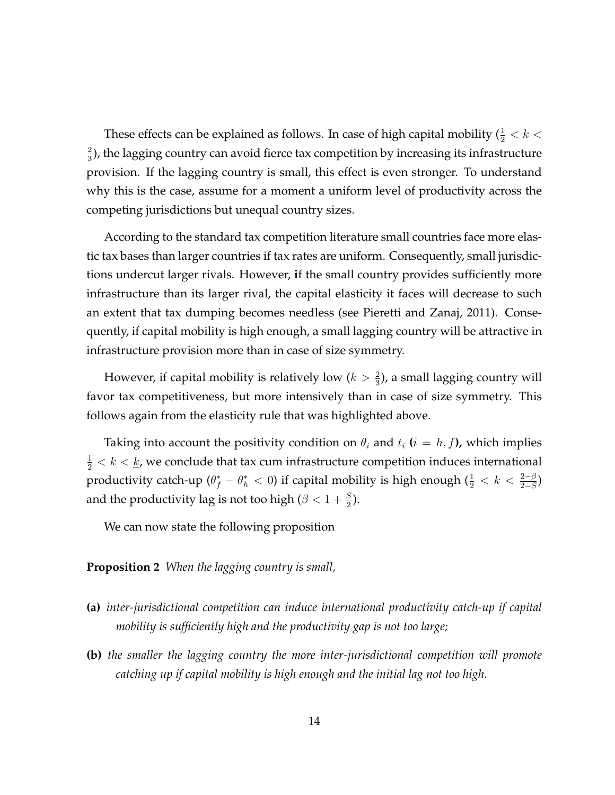These effects can be explained as follows. In case of high capital mobility ( $\frac{1}{2} < k <$ 2  $\frac{2}{3}$ ), the lagging country can avoid fierce tax competition by increasing its infrastructure provision. If the lagging country is small, this effect is even stronger. To understand why this is the case, assume for a moment a uniform level of productivity across the competing jurisdictions but unequal country sizes.

According to the standard tax competition literature small countries face more elastic tax bases than larger countries if tax rates are uniform. Consequently, small jurisdictions undercut larger rivals. However, **i**f the small country provides sufficiently more infrastructure than its larger rival, the capital elasticity it faces will decrease to such an extent that tax dumping becomes needless (see Pieretti and Zanaj, 2011). Consequently, if capital mobility is high enough, a small lagging country will be attractive in infrastructure provision more than in case of size symmetry.

However, if capital mobility is relatively low  $(k > \frac{2}{3})$ , a small lagging country will favor tax competitiveness, but more intensively than in case of size symmetry. This follows again from the elasticity rule that was highlighted above.

Taking into account the positivity condition on  $\theta_i$  and  $t_i$  ( $i = h, f$ ), which implies  $\frac{1}{2} < k < \underline{k}$ , we conclude that tax cum infrastructure competition induces international productivity catch-up  $(\theta_f^* - \theta_h^* < 0)$  if capital mobility is high enough  $(\frac{1}{2} < k < \frac{2-\beta}{2-S})$ and the productivity lag is not too high ( $\beta < 1 + \frac{S}{2}$ ).

We can now state the following proposition

**Proposition 2** *When the lagging country is small,*

- **(a)** *inter-jurisdictional competition can induce international productivity catch-up if capital mobility is sufficiently high and the productivity gap is not too large;*
- **(b)** *the smaller the lagging country the more inter-jurisdictional competition will promote catching up if capital mobility is high enough and the initial lag not too high.*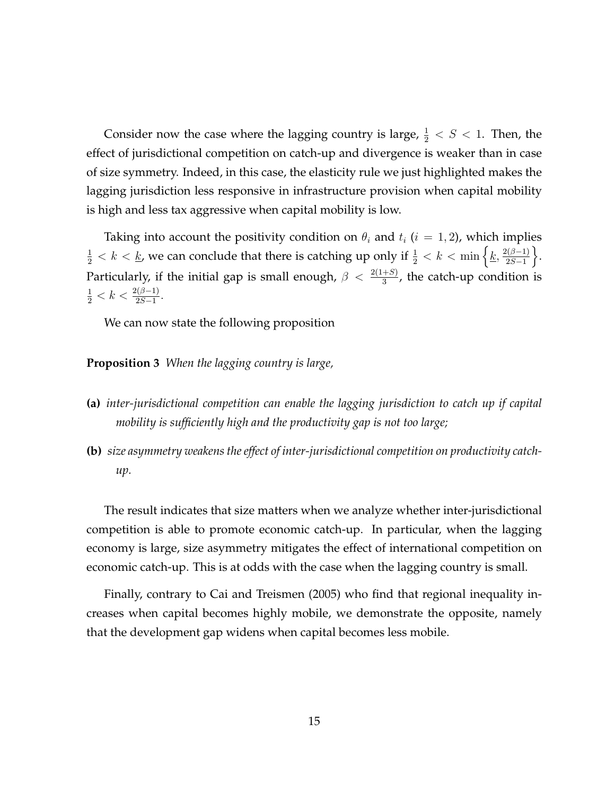Consider now the case where the lagging country is large,  $\frac{1}{2} < S < 1$ . Then, the effect of jurisdictional competition on catch-up and divergence is weaker than in case of size symmetry. Indeed, in this case, the elasticity rule we just highlighted makes the lagging jurisdiction less responsive in infrastructure provision when capital mobility is high and less tax aggressive when capital mobility is low.

Taking into account the positivity condition on  $\theta_i$  and  $t_i$  ( $i = 1, 2$ ), which implies  $\frac{1}{2} < k < \underline{k}$ , we can conclude that there is catching up only if  $\frac{1}{2} < k < \min\left\{\underline{k}, \frac{2(\beta-1)}{2S-1}\right\}$  $2S-1$  $\bigg\}$ . Particularly, if the initial gap is small enough,  $\beta < \frac{2(1+S)}{3}$ , the catch-up condition is  $\frac{1}{2} < k < \frac{2(\beta-1)}{2S-1}.$ 

We can now state the following proposition

**Proposition 3** *When the lagging country is large,*

- **(a)** *inter-jurisdictional competition can enable the lagging jurisdiction to catch up if capital mobility is sufficiently high and the productivity gap is not too large;*
- **(b)** *size asymmetry weakens the effect of inter-jurisdictional competition on productivity catchup.*

The result indicates that size matters when we analyze whether inter-jurisdictional competition is able to promote economic catch-up. In particular, when the lagging economy is large, size asymmetry mitigates the effect of international competition on economic catch-up. This is at odds with the case when the lagging country is small.

Finally, contrary to Cai and Treismen (2005) who find that regional inequality increases when capital becomes highly mobile, we demonstrate the opposite, namely that the development gap widens when capital becomes less mobile.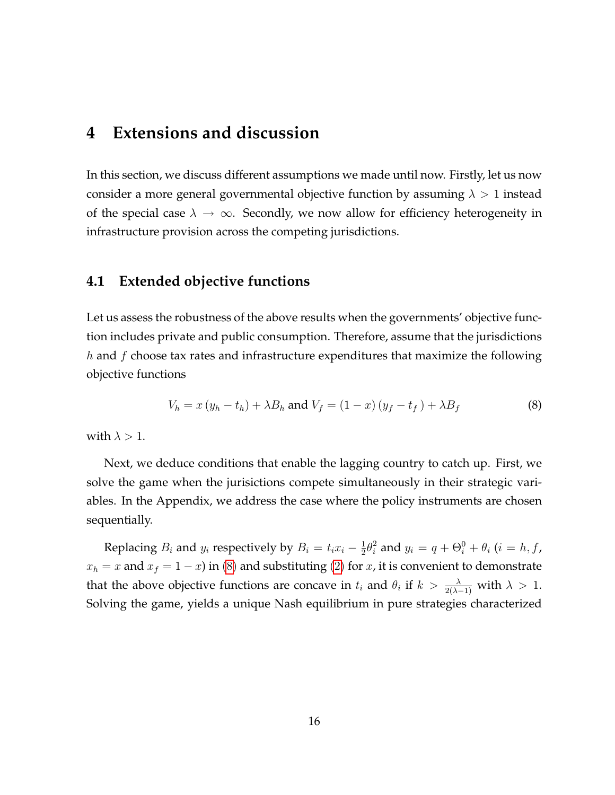## **4 Extensions and discussion**

In this section, we discuss different assumptions we made until now. Firstly, let us now consider a more general governmental objective function by assuming  $\lambda > 1$  instead of the special case  $\lambda \to \infty$ . Secondly, we now allow for efficiency heterogeneity in infrastructure provision across the competing jurisdictions.

#### **4.1 Extended objective functions**

Let us assess the robustness of the above results when the governments' objective function includes private and public consumption. Therefore, assume that the jurisdictions  $h$  and  $f$  choose tax rates and infrastructure expenditures that maximize the following objective functions

<span id="page-16-0"></span>
$$
V_h = x (y_h - t_h) + \lambda B_h \text{ and } V_f = (1 - x) (y_f - t_f) + \lambda B_f \tag{8}
$$

with  $\lambda > 1$ .

Next, we deduce conditions that enable the lagging country to catch up. First, we solve the game when the jurisictions compete simultaneously in their strategic variables. In the Appendix, we address the case where the policy instruments are chosen sequentially.

Replacing  $B_i$  and  $y_i$  respectively by  $B_i = t_i x_i - \frac{1}{2}$  $\frac{1}{2}\theta_i^2$  and  $y_i = q + \Theta_i^0 + \theta_i$  ( $i = h, f$ ,  $x_h = x$  and  $x_f = 1 - x$ ) in [\(8\)](#page-16-0) and substituting [\(2\)](#page-8-1) for x, it is convenient to demonstrate that the above objective functions are concave in  $t_i$  and  $\theta_i$  if  $k > \frac{\lambda}{2(\lambda-1)}$  with  $\lambda > 1$ . Solving the game, yields a unique Nash equilibrium in pure strategies characterized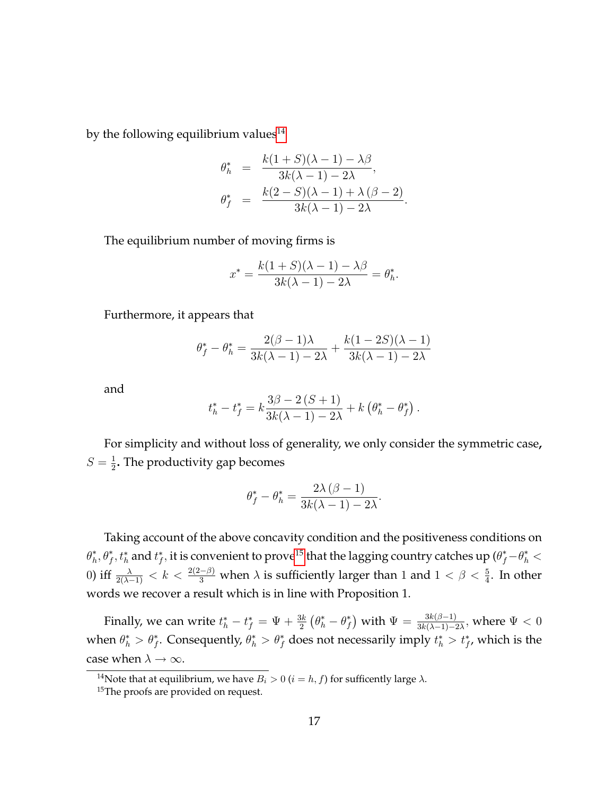by the following equilibrium values $14$ 

$$
\theta_h^* = \frac{k(1+S)(\lambda-1) - \lambda \beta}{3k(\lambda-1) - 2\lambda},
$$
  

$$
\theta_f^* = \frac{k(2-S)(\lambda-1) + \lambda(\beta-2)}{3k(\lambda-1) - 2\lambda}.
$$

The equilibrium number of moving firms is

$$
x^* = \frac{k(1+S)(\lambda-1)-\lambda\beta}{3k(\lambda-1)-2\lambda} = \theta_h^*.
$$

Furthermore, it appears that

$$
\theta_f^* - \theta_h^* = \frac{2(\beta - 1)\lambda}{3k(\lambda - 1) - 2\lambda} + \frac{k(1 - 2S)(\lambda - 1)}{3k(\lambda - 1) - 2\lambda}
$$

and

$$
t_h^* - t_f^* = k \frac{3\beta - 2 (S + 1)}{3k(\lambda - 1) - 2\lambda} + k (\theta_h^* - \theta_f^*).
$$

For simplicity and without loss of generality, we only consider the symmetric case**,**  $S=\frac{1}{2}$  $\frac{1}{2}$ . The productivity gap becomes

$$
\theta_f^* - \theta_h^* = \frac{2\lambda(\beta - 1)}{3k(\lambda - 1) - 2\lambda}
$$

:

Taking account of the above concavity condition and the positiveness conditions on  $\theta_h^*,\theta_f^*,t_h^*$  and  $t_f^*,$  it is convenient to prove $^{15}$  $^{15}$  $^{15}$  that the lagging country catches up  $(\theta_f^*-\theta_h^*<$ 0) iff  $\frac{\lambda}{2(\lambda-1)} < k < \frac{2(2-\beta)}{3}$  when  $\lambda$  is sufficiently larger than 1 and  $1 < \beta < \frac{5}{4}$ . In other words we recover a result which is in line with Proposition 1.

Finally, we can write  $t^*_h-t^*_f=\Psi+\frac{3k}{2}\left(\theta^*_h-\theta^*_f\right)$  with  $\Psi=\frac{3k(\beta-1)}{3k(\lambda-1)-2\lambda}$ , where  $\Psi<0$ when  $\theta_h^* > \theta_f^*$ . Consequently,  $\theta_h^* > \theta_f^*$  does not necessarily imply  $t_h^* > t_f^*$ , which is the case when  $\lambda \to \infty$ .

<span id="page-17-0"></span><sup>&</sup>lt;sup>14</sup>Note that at equilibrium, we have  $B_i > 0$  ( $i = h, f$ ) for sufficently large  $\lambda$ .

<span id="page-17-1"></span><sup>&</sup>lt;sup>15</sup>The proofs are provided on request.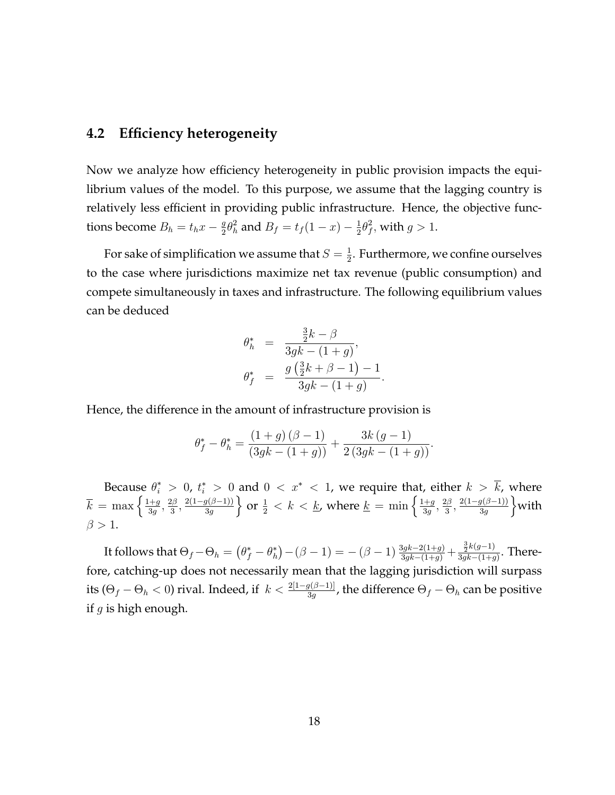#### **4.2 Efficiency heterogeneity**

Now we analyze how efficiency heterogeneity in public provision impacts the equilibrium values of the model. To this purpose, we assume that the lagging country is relatively less efficient in providing public infrastructure. Hence, the objective functions become  $B_h = t_h x - \frac{g}{2}$  $\frac{g}{2}\theta_h^2$  and  $B_f = t_f(1-x) - \frac{1}{2}$  $rac{1}{2}\theta_f^2$  $j^2_f$ , with  $g>1$ .

For sake of simplification we assume that  $S=\frac{1}{2}$  $\frac{1}{2}$ . Furthermore, we confine ourselves to the case where jurisdictions maximize net tax revenue (public consumption) and compete simultaneously in taxes and infrastructure. The following equilibrium values can be deduced

$$
\theta_h^* = \frac{\frac{3}{2}k - \beta}{3gk - (1+g)},
$$
  

$$
\theta_f^* = \frac{g(\frac{3}{2}k + \beta - 1) - 1}{3gk - (1+g)}.
$$

Hence, the difference in the amount of infrastructure provision is

$$
\theta_f^* - \theta_h^* = \frac{(1+g)(\beta-1)}{(3gk - (1+g))} + \frac{3k(g-1)}{2(3gk - (1+g))}.
$$

Because  $\theta_i^* > 0$ ,  $t_i^* > 0$  and  $0 < x^* < 1$ , we require that, either  $k > k$ , where  $\overline{k} = \max\left\{\frac{1+g}{3g}\right\}$  $\frac{+g}{3g},\frac{2\beta}{3}$  $\frac{2\beta}{3},\frac{2(1-g(\beta-1))}{3g}$  $\}$  or  $\frac{1}{2} < k < \underline{k}$ , where  $\underline{k} = \min \left\{ \frac{1+g}{3g} \right\}$  $\frac{+g}{3g},\frac{2\beta}{3}$  $\frac{2\beta}{3},\frac{2(1-g(\beta-1))}{3g}$  $\mathrm{with}$  $\beta > 1$ .

It follows that  $\Theta_f - \Theta_h = (\theta_f^* - \theta_h^*) - (\beta - 1) = -(\beta - 1) \frac{3gk - 2(1+g)}{3gk - (1+g)} + \frac{\frac{3}{2}k(g-1)}{3gk - (1+g)}$  $\frac{\frac{1}{2}\kappa(g-1)}{3gk-(1+g)}$ . Therefore, catching-up does not necessarily mean that the lagging jurisdiction will surpass its ( $\Theta_f-\Theta_h< 0$ ) rival. Indeed, if  $k<\frac{2[1-g(\beta-1)]}{3g}$ , the difference  $\Theta_f-\Theta_h$  can be positive if  $q$  is high enough.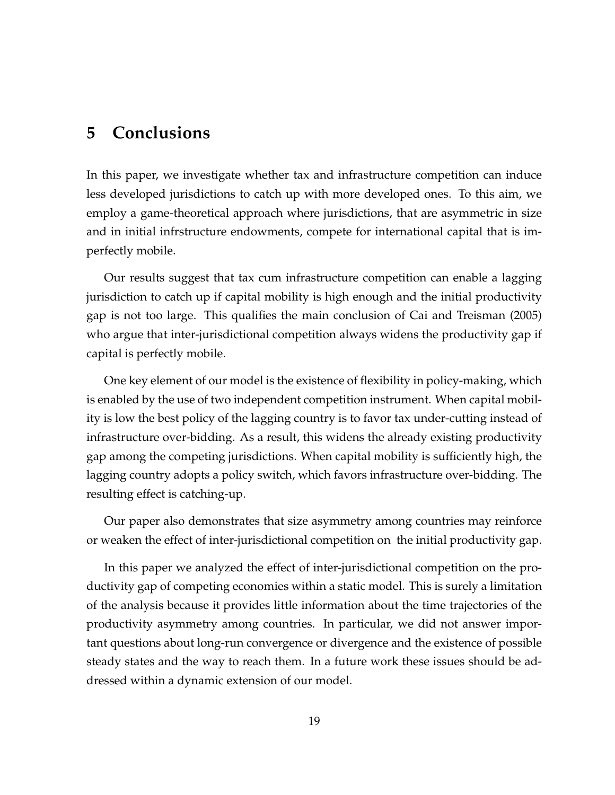## **5 Conclusions**

In this paper, we investigate whether tax and infrastructure competition can induce less developed jurisdictions to catch up with more developed ones. To this aim, we employ a game-theoretical approach where jurisdictions, that are asymmetric in size and in initial infrstructure endowments, compete for international capital that is imperfectly mobile.

Our results suggest that tax cum infrastructure competition can enable a lagging jurisdiction to catch up if capital mobility is high enough and the initial productivity gap is not too large. This qualifies the main conclusion of Cai and Treisman (2005) who argue that inter-jurisdictional competition always widens the productivity gap if capital is perfectly mobile.

One key element of our model is the existence of flexibility in policy-making, which is enabled by the use of two independent competition instrument. When capital mobility is low the best policy of the lagging country is to favor tax under-cutting instead of infrastructure over-bidding. As a result, this widens the already existing productivity gap among the competing jurisdictions. When capital mobility is sufficiently high, the lagging country adopts a policy switch, which favors infrastructure over-bidding. The resulting effect is catching-up.

Our paper also demonstrates that size asymmetry among countries may reinforce or weaken the effect of inter-jurisdictional competition on the initial productivity gap.

In this paper we analyzed the effect of inter-jurisdictional competition on the productivity gap of competing economies within a static model. This is surely a limitation of the analysis because it provides little information about the time trajectories of the productivity asymmetry among countries. In particular, we did not answer important questions about long-run convergence or divergence and the existence of possible steady states and the way to reach them. In a future work these issues should be addressed within a dynamic extension of our model.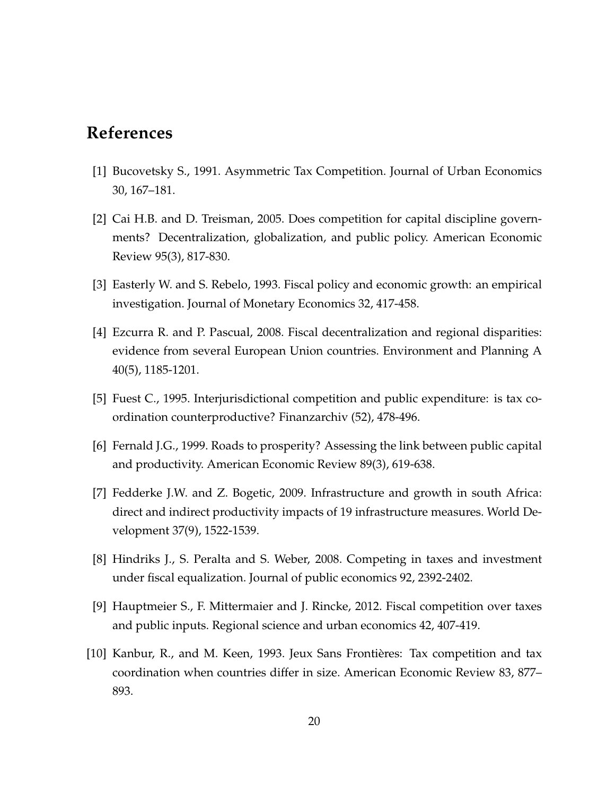## **References**

- [1] Bucovetsky S., 1991. Asymmetric Tax Competition. Journal of Urban Economics 30, 167–181.
- [2] Cai H.B. and D. Treisman, 2005. Does competition for capital discipline governments? Decentralization, globalization, and public policy. American Economic Review 95(3), 817-830.
- [3] Easterly W. and S. Rebelo, 1993. Fiscal policy and economic growth: an empirical investigation. Journal of Monetary Economics 32, 417-458.
- [4] Ezcurra R. and P. Pascual, 2008. Fiscal decentralization and regional disparities: evidence from several European Union countries. Environment and Planning A 40(5), 1185-1201.
- [5] Fuest C., 1995. Interjurisdictional competition and public expenditure: is tax coordination counterproductive? Finanzarchiv (52), 478-496.
- [6] Fernald J.G., 1999. Roads to prosperity? Assessing the link between public capital and productivity. American Economic Review 89(3), 619-638.
- [7] Fedderke J.W. and Z. Bogetic, 2009. Infrastructure and growth in south Africa: direct and indirect productivity impacts of 19 infrastructure measures. World Development 37(9), 1522-1539.
- [8] Hindriks J., S. Peralta and S. Weber, 2008. Competing in taxes and investment under fiscal equalization. Journal of public economics 92, 2392-2402.
- [9] Hauptmeier S., F. Mittermaier and J. Rincke, 2012. Fiscal competition over taxes and public inputs. Regional science and urban economics 42, 407-419.
- [10] Kanbur, R., and M. Keen, 1993. Jeux Sans Frontières: Tax competition and tax coordination when countries differ in size. American Economic Review 83, 877– 893.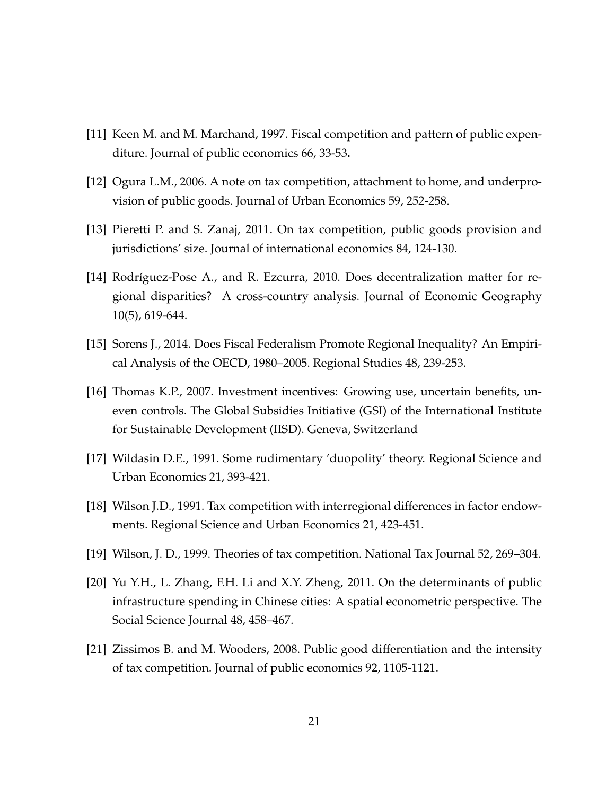- [11] Keen M. and M. Marchand, 1997. Fiscal competition and pattern of public expenditure. Journal of public economics 66, 33-53**.**
- [12] Ogura L.M., 2006. A note on tax competition, attachment to home, and underprovision of public goods. Journal of Urban Economics 59, 252-258.
- [13] Pieretti P. and S. Zanaj, 2011. On tax competition, public goods provision and jurisdictions' size. Journal of international economics 84, 124-130.
- [14] Rodríguez-Pose A., and R. Ezcurra, 2010. Does decentralization matter for regional disparities? A cross-country analysis. Journal of Economic Geography 10(5), 619-644.
- [15] Sorens J., 2014. Does Fiscal Federalism Promote Regional Inequality? An Empirical Analysis of the OECD, 1980–2005. Regional Studies 48, 239-253.
- [16] Thomas K.P., 2007. Investment incentives: Growing use, uncertain benefits, uneven controls. The Global Subsidies Initiative (GSI) of the International Institute for Sustainable Development (IISD). Geneva, Switzerland
- [17] Wildasin D.E., 1991. Some rudimentary 'duopolity' theory. Regional Science and Urban Economics 21, 393-421.
- [18] Wilson J.D., 1991. Tax competition with interregional differences in factor endowments. Regional Science and Urban Economics 21, 423-451.
- [19] Wilson, J. D., 1999. Theories of tax competition. National Tax Journal 52, 269–304.
- [20] Yu Y.H., L. Zhang, F.H. Li and X.Y. Zheng, 2011. On the determinants of public infrastructure spending in Chinese cities: A spatial econometric perspective. The Social Science Journal 48, 458–467.
- [21] Zissimos B. and M. Wooders, 2008. Public good differentiation and the intensity of tax competition. Journal of public economics 92, 1105-1121.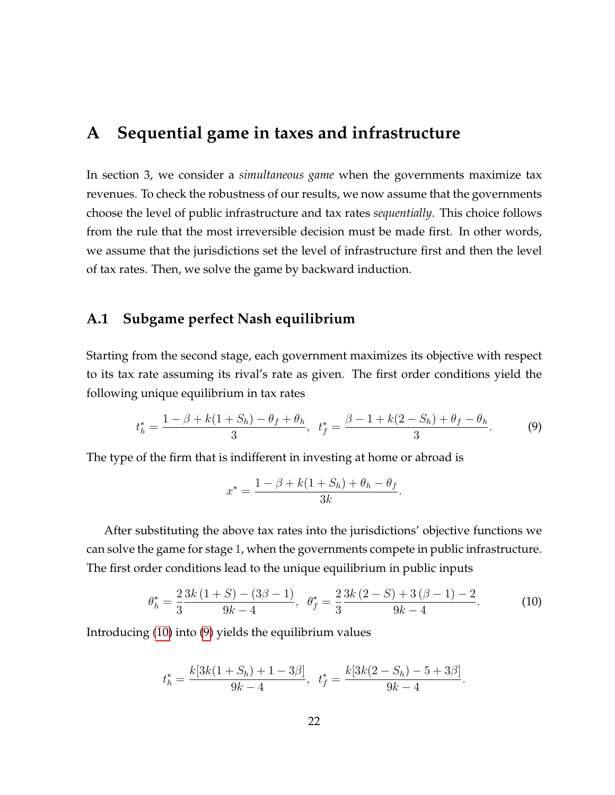## **A Sequential game in taxes and infrastructure**

In section 3, we consider a *simultaneous game* when the governments maximize tax revenues. To check the robustness of our results, we now assume that the governments choose the level of public infrastructure and tax rates *sequentially*. This choice follows from the rule that the most irreversible decision must be made first. In other words, we assume that the jurisdictions set the level of infrastructure first and then the level of tax rates. Then, we solve the game by backward induction.

#### **A.1 Subgame perfect Nash equilibrium**

Starting from the second stage, each government maximizes its objective with respect to its tax rate assuming its rival's rate as given. The first order conditions yield the following unique equilibrium in tax rates

<span id="page-22-1"></span>
$$
t_h^* = \frac{1 - \beta + k(1 + S_h) - \theta_f + \theta_h}{3}, \ \ t_f^* = \frac{\beta - 1 + k(2 - S_h) + \theta_f - \theta_h}{3}.
$$
 (9)

The type of the firm that is indifferent in investing at home or abroad is

$$
x^* = \frac{1 - \beta + k(1 + S_h) + \theta_h - \theta_f}{3k}.
$$

After substituting the above tax rates into the jurisdictions' objective functions we can solve the game for stage 1, when the governments compete in public infrastructure. The first order conditions lead to the unique equilibrium in public inputs

<span id="page-22-0"></span>
$$
\theta_h^* = \frac{2}{3} \frac{3k(1+S) - (3\beta - 1)}{9k - 4}, \ \ \theta_f^* = \frac{2}{3} \frac{3k(2-S) + 3(\beta - 1) - 2}{9k - 4}.
$$
 (10)

:

Introducing [\(10\)](#page-22-0) into [\(9\)](#page-22-1) yields the equilibrium values

$$
t_h^* = \frac{k[3k(1+S_h) + 1 - 3\beta]}{9k - 4}, \ \ t_f^* = \frac{k[3k(2-S_h) - 5 + 3\beta]}{9k - 4}
$$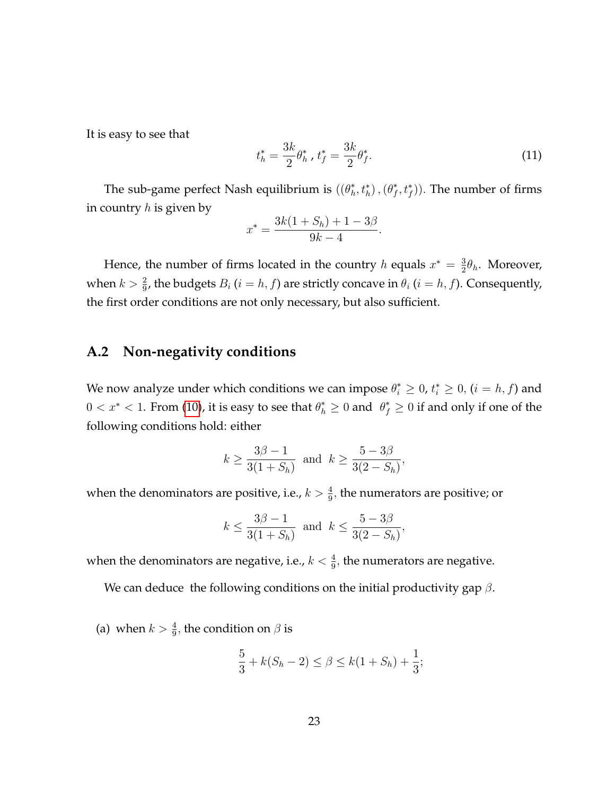It is easy to see that

$$
t_h^* = \frac{3k}{2} \theta_h^*, \ t_f^* = \frac{3k}{2} \theta_f^*.
$$
 (11)

The sub-game perfect Nash equilibrium is  $((\theta_h^*, t_h^*), (\theta_f^*, t_f^*)$ ). The number of firms in country  $h$  is given by

$$
x^* = \frac{3k(1+S_h) + 1 - 3\beta}{9k - 4}.
$$

Hence, the number of firms located in the country h equals  $x^* = \frac{3}{2}$  $\frac{3}{2}\theta_h$ . Moreover, when  $k > \frac{2}{9}$ , the budgets  $B_i$   $(i = h, f)$  are strictly concave in  $\theta_i$   $(i = h, f)$ . Consequently, the first order conditions are not only necessary, but also sufficient.

#### **A.2 Non-negativity conditions**

We now analyze under which conditions we can impose  $\theta_i^* \geq 0$ ,  $t_i^* \geq 0$ ,  $(i = h, f)$  and  $0 < x^* < 1$ . From [\(10\)](#page-22-0), it is easy to see that  $\theta_h^* \ge 0$  and  $\theta_f^* \ge 0$  if and only if one of the following conditions hold: either

$$
k \ge \frac{3\beta - 1}{3(1 + S_h)}
$$
 and  $k \ge \frac{5 - 3\beta}{3(2 - S_h)}$ ,

when the denominators are positive, i.e.,  $k > \frac{4}{9}$ , the numerators are positive; or

$$
k \le \frac{3\beta - 1}{3(1 + S_h)}
$$
 and  $k \le \frac{5 - 3\beta}{3(2 - S_h)}$ ,

when the denominators are negative, i.e.,  $k < \frac{4}{9}$ , the numerators are negative.

We can deduce the following conditions on the initial productivity gap  $\beta$ .

(a) when  $k > \frac{4}{9}$ , the condition on  $\beta$  is

$$
\frac{5}{3} + k(S_h - 2) \le \beta \le k(1 + S_h) + \frac{1}{3};
$$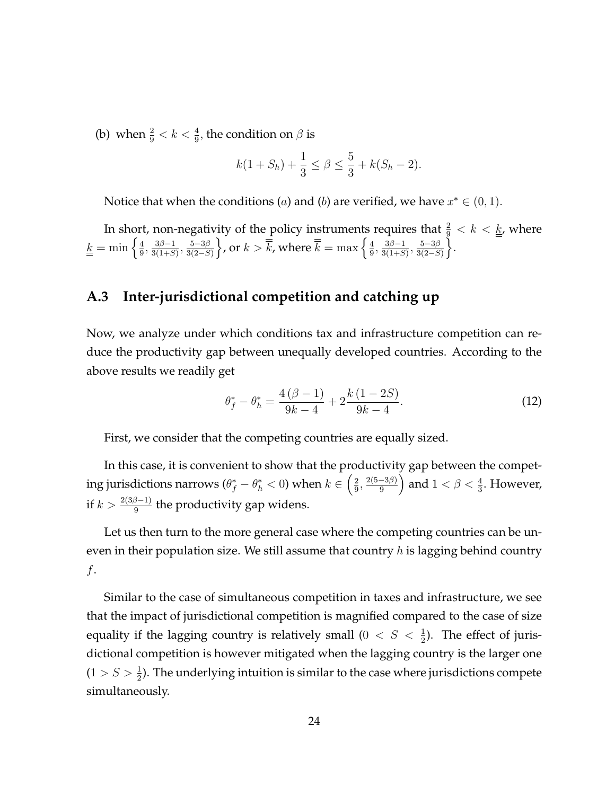(b) when  $\frac{2}{9} < k < \frac{4}{9}$ , the condition on  $\beta$  is

$$
k(1+S_h) + \frac{1}{3} \le \beta \le \frac{5}{3} + k(S_h - 2).
$$

Notice that when the conditions (*a*) and (*b*) are verified, we have  $x^* \in (0,1)$ .

In short, non-negativity of the policy instruments requires that  $\frac{2}{9} < k < \underline{k}$ , where  $\underline{k} = \min \left\{ \frac{4}{9} \right\}$  $\frac{4}{9}, \frac{3\beta-1}{3(1+S)}, \frac{5-3\beta}{3(2-S)}$  $3(2-S)$  $\left\{\right\}$ , or  $k > \overline{\overline{k}}$ , where  $\overline{\overline{k}} = \max\left\{\frac{4}{9}\right\}$  $\frac{4}{9}, \frac{3\beta-1}{3(1+S)}, \frac{5-3\beta}{3(2-S)}$  $3(2-S)$ \[\ine .

#### **A.3 Inter-jurisdictional competition and catching up**

Now, we analyze under which conditions tax and infrastructure competition can reduce the productivity gap between unequally developed countries. According to the above results we readily get

<span id="page-24-0"></span>
$$
\theta_f^* - \theta_h^* = \frac{4(\beta - 1)}{9k - 4} + 2\frac{k(1 - 2S)}{9k - 4}.
$$
 (12)

First, we consider that the competing countries are equally sized.

In this case, it is convenient to show that the productivity gap between the competing jurisdictions narrows  $(\theta_f^* - \theta_h^* < 0)$  when  $k \in \left(\frac{2}{9}\right)$  $\frac{2}{9}, \frac{2(5-3\beta)}{9}$ ) and  $1 < \beta < \frac{4}{3}$ . However, if  $k > \frac{2(3\beta-1)}{9}$  the productivity gap widens.

Let us then turn to the more general case where the competing countries can be uneven in their population size. We still assume that country  $h$  is lagging behind country f.

Similar to the case of simultaneous competition in taxes and infrastructure, we see that the impact of jurisdictional competition is magnified compared to the case of size equality if the lagging country is relatively small  $(0 < S < \frac{1}{2})$ . The effect of jurisdictional competition is however mitigated when the lagging country is the larger one  $(1 > S > \frac{1}{2})$ . The underlying intuition is similar to the case where jurisdictions compete simultaneously.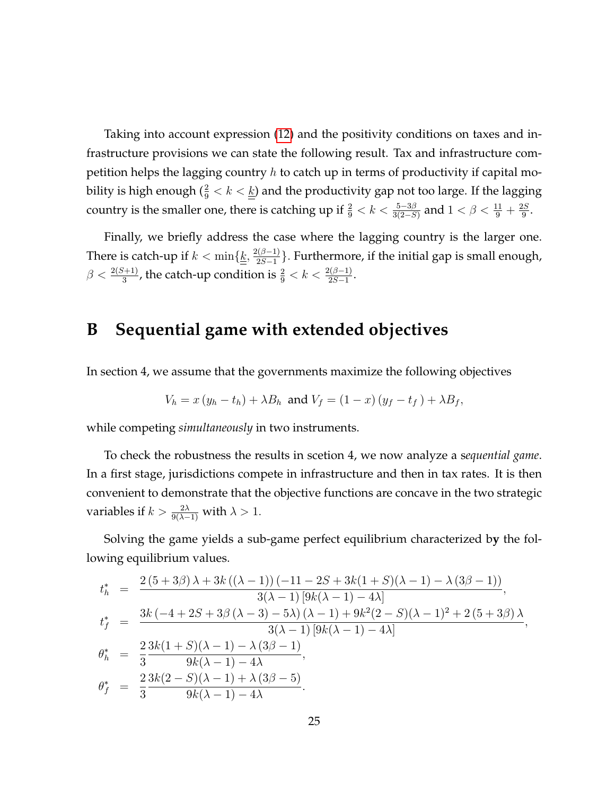Taking into account expression [\(12\)](#page-24-0) and the positivity conditions on taxes and infrastructure provisions we can state the following result. Tax and infrastructure competition helps the lagging country  $h$  to catch up in terms of productivity if capital mobility is high enough  $(\frac{2}{9} < k < \underline{k})$  and the productivity gap not too large. If the lagging country is the smaller one, there is catching up if  $\frac{2}{9} < k < \frac{5-3\beta}{3(2-S)}$  and  $1 < \beta < \frac{11}{9} + \frac{2S}{9}$  $\frac{2S}{9}$ .

Finally, we briefly address the case where the lagging country is the larger one. There is catch-up if  $k < \min\{\underline{\underline{k}}, \frac{2(\beta-1)}{2S-1}$  $\frac{2(2S-1)}{2S-1}$ . Furthermore, if the initial gap is small enough,  $\beta < \frac{2(S+1)}{3}$ , the catch-up condition is  $\frac{2}{9} < k < \frac{2(\beta-1)}{2S-1}$ .

## **B Sequential game with extended objectives**

In section 4, we assume that the governments maximize the following objectives

$$
V_h = x (y_h - t_h) + \lambda B_h \text{ and } V_f = (1 - x) (y_f - t_f) + \lambda B_f,
$$

while competing *simultaneously* in two instruments.

To check the robustness the results in scetion 4, we now analyze a s*equential game*. In a first stage, jurisdictions compete in infrastructure and then in tax rates. It is then convenient to demonstrate that the objective functions are concave in the two strategic variables if  $k > \frac{2\lambda}{9(\lambda - 1)}$  with  $\lambda > 1$ .

Solving the game yields a sub-game perfect equilibrium characterized b**y** the following equilibrium values.

$$
t_h^* = \frac{2 (5 + 3\beta) \lambda + 3k ((\lambda - 1)) (-11 - 2S + 3k(1 + S)(\lambda - 1) - \lambda (3\beta - 1))}{3(\lambda - 1) [9k(\lambda - 1) - 4\lambda]},
$$
  
\n
$$
t_f^* = \frac{3k (-4 + 2S + 3\beta (\lambda - 3) - 5\lambda) (\lambda - 1) + 9k^2 (2 - S)(\lambda - 1)^2 + 2 (5 + 3\beta) \lambda}{3(\lambda - 1) [9k(\lambda - 1) - 4\lambda]},
$$
  
\n
$$
\theta_h^* = \frac{2}{3} \frac{3k(1 + S)(\lambda - 1) - \lambda (3\beta - 1)}{9k(\lambda - 1) - 4\lambda},
$$
  
\n
$$
\theta_f^* = \frac{2}{3} \frac{3k(2 - S)(\lambda - 1) + \lambda (3\beta - 5)}{9k(\lambda - 1) - 4\lambda}.
$$